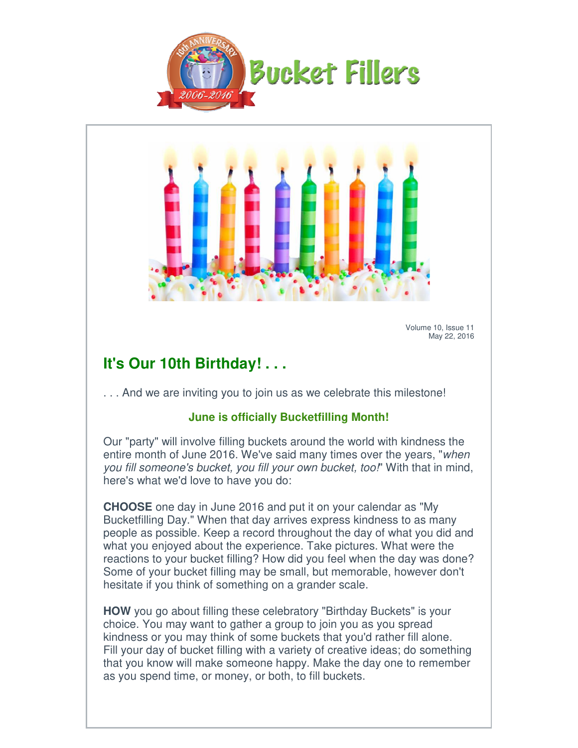



Volume 10, Issue 11 May 22, 2016

## **It's Our 10th Birthday! . . . It's**

... And we are inviting you to join us as we celebrate this milestone!

## **June is officially Bucketfilling Month! officially**

Our "party" will involve filling buckets around the world with kindness the entire month of June 2016. We've said many times over the years, "when you fill someone's bucket, you fill your own bucket, too!" With that in mind, here's what we'd love to have you do:

here's what we'd love to have you do:<br>**CHOOSE** one day in June 2016 and put it on your calendar as "My Bucketfilling Day." When that day arrives express kindness to as many people as possible. Keep a record throughout the day of what you did and what you enjoyed about the experience. Take pictures. What were the reactions to your bucket filling? How did you feel when the day was done? Some of your bucket filling may be small, but memorable, however don't hesitate if you think of something on a grander scale. Bucketfilling Day." When that day arrives express kindness to as many<br>people as possible. Keep a record throughout the day of what you did a<br>what you enjoyed about the experience. Take pictures. What were the<br>reactions to Volume 10, Wolume 10, Wolume 10, Wolume 10, Make the day one provide that you spends are in the metally more than the word with Kindness neutrine month of June 2016. We've said many times over the years, "you fill someone' ut it on your calendar as "My<br>es express kindness to as many<br>oughout the day of what you did<br>e. Take pictures. What were the<br>id you feel when the day was do<br>all, but memorable, however dor<br>grander scale.<br>atory "Birthday Bu

**HOW** you go about filling these celebratory "Birthday Buckets" is your choice. You may want to gather a group to join you as you spread kindness or you may think of some buckets that you'd rather fill alone. Fill your day of bucket filling with a variety of creative ideas; do something that you know will make someone happy. Make the day one to as you spend time, or money, or both, to fill buckets. choice. You may want to gather a group to join you as you spread<br>kindness or you may think of some buckets that you'd rather fill alone.<br>Fill your day of bucket filling with a variety of creative ideas; do something<br>that y